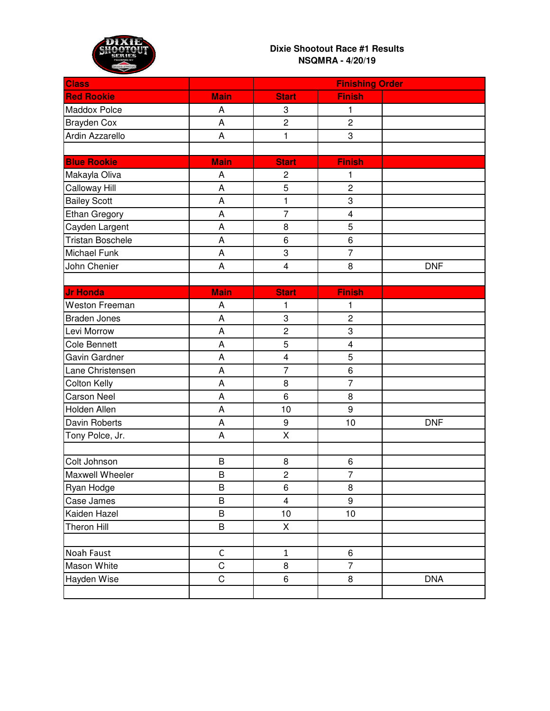

| <b>Class</b>            |             | <b>Finishing Order</b>  |                         |            |
|-------------------------|-------------|-------------------------|-------------------------|------------|
| <b>Red Rookie</b>       | <b>Main</b> | <b>Start</b>            | <b>Finish</b>           |            |
| <b>Maddox Polce</b>     | A           | 3                       | 1                       |            |
| <b>Brayden Cox</b>      | A           | $\overline{c}$          | $\overline{c}$          |            |
| Ardin Azzarello         | A           | $\mathbf{1}$            | 3                       |            |
|                         |             |                         |                         |            |
| <b>Blue Rookie</b>      | <b>Main</b> | <b>Start</b>            | <b>Finish</b>           |            |
| Makayla Oliva           | A           | $\overline{c}$          | 1                       |            |
| <b>Calloway Hill</b>    | A           | 5                       | $\overline{c}$          |            |
| <b>Bailey Scott</b>     | A           | 1                       | 3                       |            |
| <b>Ethan Gregory</b>    | A           | $\overline{7}$          | $\overline{\mathbf{4}}$ |            |
| Cayden Largent          | A           | 8                       | 5                       |            |
| <b>Tristan Boschele</b> | A           | 6                       | 6                       |            |
| <b>Michael Funk</b>     | A           | 3                       | $\overline{7}$          |            |
| John Chenier            | Α           | $\overline{\mathbf{4}}$ | 8                       | <b>DNF</b> |
|                         |             |                         |                         |            |
| <b>Jr Honda</b>         | <b>Main</b> | <b>Start</b>            | <b>Finish</b>           |            |
| <b>Weston Freeman</b>   | A           | $\mathbf{1}$            | 1                       |            |
| <b>Braden Jones</b>     | A           | 3                       | $\overline{c}$          |            |
| Levi Morrow             | A           | $\overline{c}$          | 3                       |            |
| <b>Cole Bennett</b>     | A           | 5                       | $\overline{\mathbf{4}}$ |            |
| Gavin Gardner           | A           | $\overline{\mathbf{4}}$ | 5                       |            |
| Lane Christensen        | A           | $\overline{7}$          | 6                       |            |
| <b>Colton Kelly</b>     | A           | 8                       | $\overline{7}$          |            |
| <b>Carson Neel</b>      | A           | 6                       | 8                       |            |
| Holden Allen            | A           | 10                      | $\boldsymbol{9}$        |            |
| Davin Roberts           | A           | 9                       | 10                      | <b>DNF</b> |
| Tony Polce, Jr.         | A           | X                       |                         |            |
|                         |             |                         |                         |            |
| Colt Johnson            | B           | 8                       | 6                       |            |
| Maxwell Wheeler         | B           | $\overline{c}$          | $\overline{7}$          |            |
| Ryan Hodge              | B           | 6                       | $\,8\,$                 |            |
| Case James              | B           | $\overline{\mathbf{4}}$ | $\boldsymbol{9}$        |            |
| Kaiden Hazel            | B           | 10                      | 10                      |            |
| <b>Theron Hill</b>      | B           | Χ                       |                         |            |
|                         |             |                         |                         |            |
| Noah Faust              | $\mathsf C$ | $\mathbf{1}$            | 6                       |            |
| Mason White             | $\mathsf C$ | 8                       | $\overline{7}$          |            |
| Hayden Wise             | $\mathsf C$ | 6                       | 8                       | <b>DNA</b> |
|                         |             |                         |                         |            |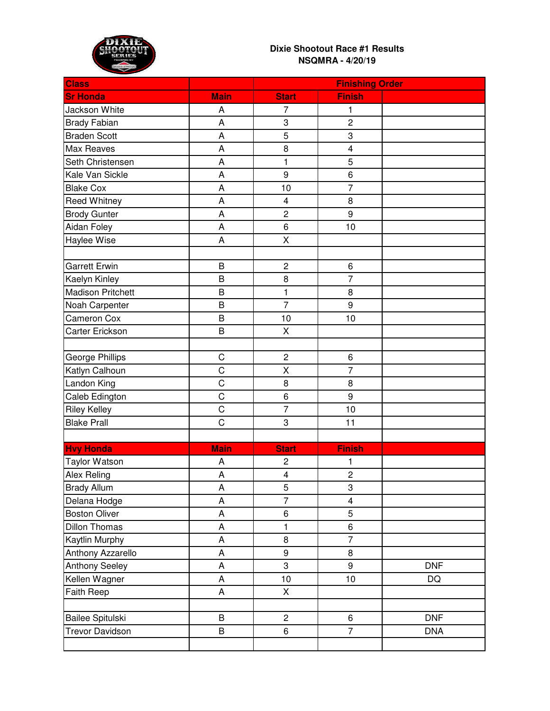

| <b>Class</b>             |             | <b>Finishing Order</b>  |                         |            |
|--------------------------|-------------|-------------------------|-------------------------|------------|
| <b>Sr Honda</b>          | <b>Main</b> | <b>Start</b>            | <b>Finish</b>           |            |
| Jackson White            | A           | 7                       | 1                       |            |
| <b>Brady Fabian</b>      | A           | 3                       | $\overline{c}$          |            |
| <b>Braden Scott</b>      | A           | 5                       | 3                       |            |
| <b>Max Reaves</b>        | A           | 8                       | $\overline{\mathbf{4}}$ |            |
| Seth Christensen         | A           | $\mathbf{1}$            | 5                       |            |
| Kale Van Sickle          | A           | $\boldsymbol{9}$        | 6                       |            |
| <b>Blake Cox</b>         | A           | 10                      | $\overline{7}$          |            |
| <b>Reed Whitney</b>      | A           | 4                       | 8                       |            |
| <b>Brody Gunter</b>      | A           | $\overline{c}$          | 9                       |            |
| Aidan Foley              | A           | 6                       | 10                      |            |
| <b>Haylee Wise</b>       | A           | $\pmb{\mathsf{X}}$      |                         |            |
|                          |             |                         |                         |            |
| <b>Garrett Erwin</b>     | B           | $\overline{\mathbf{c}}$ | $\,6$                   |            |
| Kaelyn Kinley            | B           | 8                       | $\overline{7}$          |            |
| <b>Madison Pritchett</b> | B           | $\mathbf{1}$            | 8                       |            |
| Noah Carpenter           | B           | $\overline{7}$          | $\boldsymbol{9}$        |            |
| <b>Cameron Cox</b>       | B           | 10                      | 10                      |            |
| <b>Carter Erickson</b>   | B           | X                       |                         |            |
|                          |             |                         |                         |            |
| <b>George Phillips</b>   | $\mathsf C$ | $\overline{c}$          | 6                       |            |
| Katlyn Calhoun           | C           | Χ                       | $\overline{7}$          |            |
| Landon King              | $\mathsf C$ | 8                       | 8                       |            |
| Caleb Edington           | C           | 6                       | 9                       |            |
| <b>Riley Kelley</b>      | C           | $\overline{7}$          | 10                      |            |
| <b>Blake Prall</b>       | $\mathsf C$ | 3                       | 11                      |            |
|                          |             |                         |                         |            |
| <b>Hvy Honda</b>         | <b>Main</b> | <b>Start</b>            | <b>Finish</b>           |            |
| <b>Taylor Watson</b>     | A           | $\overline{\mathbf{c}}$ | 1                       |            |
| <b>Alex Reling</b>       | A           | $\overline{\mathbf{4}}$ | $\overline{2}$          |            |
| <b>Brady Allum</b>       | A           | 5                       | 3                       |            |
| Delana Hodge             | A           | $\overline{7}$          | $\overline{\mathbf{4}}$ |            |
| <b>Boston Oliver</b>     | A           | 6                       | 5                       |            |
| <b>Dillon Thomas</b>     | A           | $\mathbf{1}$            | 6                       |            |
| Kaytlin Murphy           | A           | 8                       | $\overline{7}$          |            |
| Anthony Azzarello        | A           | 9                       | 8                       |            |
| <b>Anthony Seeley</b>    | A           | 3                       | 9                       | <b>DNF</b> |
| Kellen Wagner            | A           | 10                      | 10                      | DQ         |
| Faith Reep               | A           | $\sf X$                 |                         |            |
|                          |             |                         |                         |            |
| <b>Bailee Spitulski</b>  | B           | $\overline{c}$          | 6                       | <b>DNF</b> |
| <b>Trevor Davidson</b>   | B           | 6                       | $\overline{7}$          | <b>DNA</b> |
|                          |             |                         |                         |            |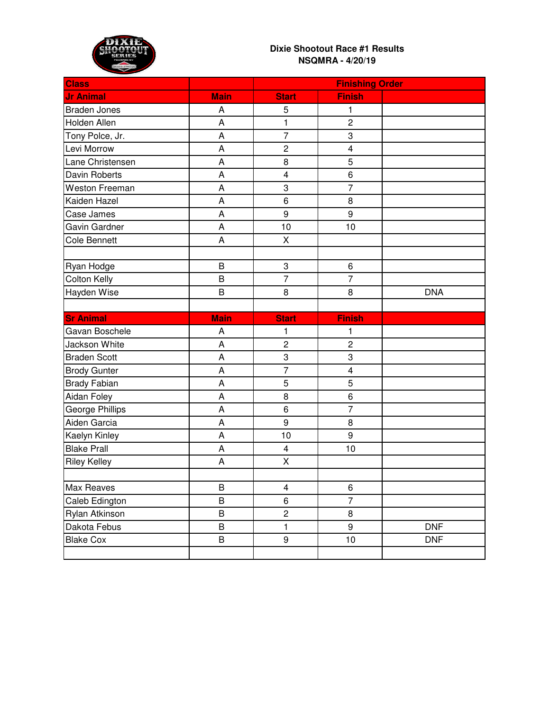

| <b>Class</b>           |             | <b>Finishing Order</b>  |                         |            |
|------------------------|-------------|-------------------------|-------------------------|------------|
| <b>Jr Animal</b>       | <b>Main</b> | <b>Start</b>            | <b>Finish</b>           |            |
| <b>Braden Jones</b>    | A           | 5                       | 1                       |            |
| Holden Allen           | A           | 1                       | $\overline{c}$          |            |
| Tony Polce, Jr.        | A           | $\overline{7}$          | 3                       |            |
| Levi Morrow            | A           | $\overline{c}$          | $\overline{\mathbf{4}}$ |            |
| Lane Christensen       | A           | 8                       | 5                       |            |
| <b>Davin Roberts</b>   | A           | 4                       | 6                       |            |
| <b>Weston Freeman</b>  | A           | 3                       | $\overline{7}$          |            |
| Kaiden Hazel           | A           | 6                       | 8                       |            |
| Case James             | A           | 9                       | 9                       |            |
| Gavin Gardner          | A           | 10                      | 10                      |            |
| <b>Cole Bennett</b>    | A           | X                       |                         |            |
|                        |             |                         |                         |            |
| Ryan Hodge             | B           | 3                       | 6                       |            |
| <b>Colton Kelly</b>    | B           | $\overline{7}$          | $\overline{7}$          |            |
| Hayden Wise            | B           | 8                       | 8                       | <b>DNA</b> |
|                        |             |                         |                         |            |
| <b>Sr Animal</b>       | <b>Main</b> | <b>Start</b>            | <b>Finish</b>           |            |
| Gavan Boschele         | A           | 1                       | 1                       |            |
| Jackson White          | A           | $\overline{c}$          | $\overline{c}$          |            |
| <b>Braden Scott</b>    | A           | 3                       | 3                       |            |
| <b>Brody Gunter</b>    | A           | $\overline{7}$          | $\overline{\mathbf{4}}$ |            |
| <b>Brady Fabian</b>    | A           | 5                       | 5                       |            |
| Aidan Foley            | A           | 8                       | 6                       |            |
| <b>George Phillips</b> | A           | 6                       | $\overline{7}$          |            |
| Aiden Garcia           | A           | $\boldsymbol{9}$        | 8                       |            |
| Kaelyn Kinley          | A           | 10                      | 9                       |            |
| <b>Blake Prall</b>     | A           | 4                       | 10                      |            |
| <b>Riley Kelley</b>    | A           | $\pmb{\mathsf{X}}$      |                         |            |
|                        |             |                         |                         |            |
| Max Reaves             | $\sf B$     | $\overline{\mathbf{4}}$ | $\,6\,$                 |            |
| Caleb Edington         | B           | 6                       | $\overline{7}$          |            |
| Rylan Atkinson         | B           | $\overline{c}$          | 8                       |            |
| Dakota Febus           | B           | 1                       | 9                       | <b>DNF</b> |
| <b>Blake Cox</b>       | B           | 9                       | 10                      | <b>DNF</b> |
|                        |             |                         |                         |            |
|                        |             |                         |                         |            |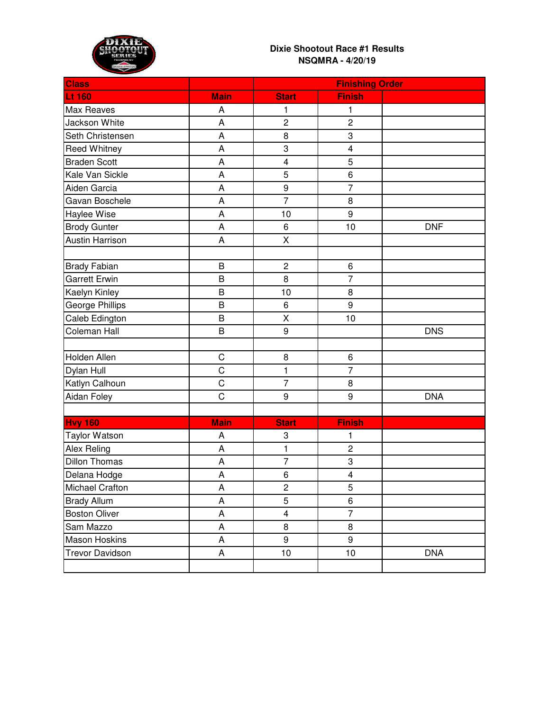

| <b>Class</b>           |             | <b>Finishing Order</b>  |                         |            |
|------------------------|-------------|-------------------------|-------------------------|------------|
| <b>Lt 160</b>          | <b>Main</b> | <b>Start</b>            | <b>Finish</b>           |            |
| <b>Max Reaves</b>      | А           | 1                       | 1                       |            |
| Jackson White          | A           | $\overline{c}$          | $\overline{c}$          |            |
| Seth Christensen       | A           | 8                       | 3                       |            |
| <b>Reed Whitney</b>    | A           | 3                       | $\overline{\mathbf{4}}$ |            |
| <b>Braden Scott</b>    | A           | $\overline{\mathbf{4}}$ | 5                       |            |
| Kale Van Sickle        | A           | 5                       | 6                       |            |
| Aiden Garcia           | A           | 9                       | $\overline{7}$          |            |
| Gavan Boschele         | A           | $\overline{7}$          | 8                       |            |
| Haylee Wise            | A           | 10                      | 9                       |            |
| <b>Brody Gunter</b>    | A           | 6                       | 10                      | <b>DNF</b> |
| <b>Austin Harrison</b> | A           | X                       |                         |            |
|                        |             |                         |                         |            |
| <b>Brady Fabian</b>    | B           | $\overline{c}$          | 6                       |            |
| <b>Garrett Erwin</b>   | B           | 8                       | $\overline{7}$          |            |
| Kaelyn Kinley          | B           | 10                      | 8                       |            |
| <b>George Phillips</b> | B           | 6                       | 9                       |            |
| Caleb Edington         | B           | X                       | 10                      |            |
| Coleman Hall           | B           | 9                       |                         | <b>DNS</b> |
|                        |             |                         |                         |            |
| Holden Allen           | $\mathsf C$ | 8                       | 6                       |            |
| Dylan Hull             | C           | 1                       | $\overline{7}$          |            |
| Katlyn Calhoun         | $\mathsf C$ | $\overline{7}$          | 8                       |            |
| Aidan Foley            | C           | 9                       | 9                       | <b>DNA</b> |
|                        |             |                         |                         |            |
| <b>Hvy 160</b>         | <b>Main</b> | <b>Start</b>            | <b>Finish</b>           |            |
| <b>Taylor Watson</b>   | A           | 3                       | 1                       |            |
| <b>Alex Reling</b>     | A           | $\mathbf{1}$            | $\overline{\mathbf{c}}$ |            |
| <b>Dillon Thomas</b>   | А           | $\overline{7}$          | 3                       |            |
| Delana Hodge           | A           | 6                       | $\overline{\mathbf{4}}$ |            |
| Michael Crafton        | A           | $\overline{c}$          | 5                       |            |
| <b>Brady Allum</b>     | A           | 5                       | 6                       |            |
| <b>Boston Oliver</b>   | A           | $\overline{\mathbf{4}}$ | $\overline{7}$          |            |
| Sam Mazzo              | A           | 8                       | 8                       |            |
| <b>Mason Hoskins</b>   | A           | 9                       | 9                       |            |
| <b>Trevor Davidson</b> | A           | 10                      | 10                      | <b>DNA</b> |
|                        |             |                         |                         |            |